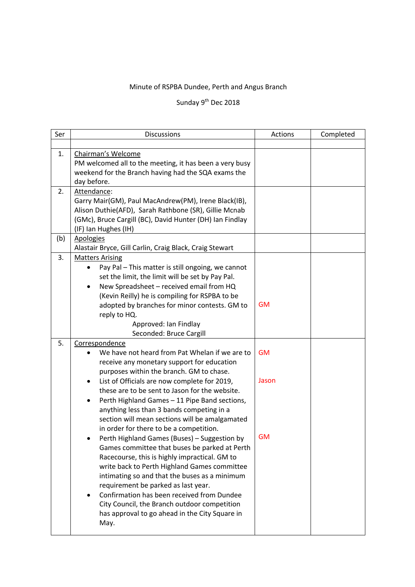## Minute of RSPBA Dundee, Perth and Angus Branch

## Sunday 9<sup>th</sup> Dec 2018

| Ser | <b>Discussions</b>                                                                                                                                                                                                                                                                                                                                                                                                                                                                                                                                                                                                                                                                                                                                                 | Actions            | Completed |  |
|-----|--------------------------------------------------------------------------------------------------------------------------------------------------------------------------------------------------------------------------------------------------------------------------------------------------------------------------------------------------------------------------------------------------------------------------------------------------------------------------------------------------------------------------------------------------------------------------------------------------------------------------------------------------------------------------------------------------------------------------------------------------------------------|--------------------|-----------|--|
|     |                                                                                                                                                                                                                                                                                                                                                                                                                                                                                                                                                                                                                                                                                                                                                                    |                    |           |  |
| 1.  | Chairman's Welcome<br>PM welcomed all to the meeting, it has been a very busy<br>weekend for the Branch having had the SQA exams the<br>day before.                                                                                                                                                                                                                                                                                                                                                                                                                                                                                                                                                                                                                |                    |           |  |
| 2.  | Attendance:<br>Garry Mair(GM), Paul MacAndrew(PM), Irene Black(IB),<br>Alison Duthie(AFD), Sarah Rathbone (SR), Gillie Mcnab<br>(GMc), Bruce Cargill (BC), David Hunter (DH) Ian Findlay<br>(IF) Ian Hughes (IH)                                                                                                                                                                                                                                                                                                                                                                                                                                                                                                                                                   |                    |           |  |
| (b) | <b>Apologies</b><br>Alastair Bryce, Gill Carlin, Craig Black, Craig Stewart                                                                                                                                                                                                                                                                                                                                                                                                                                                                                                                                                                                                                                                                                        |                    |           |  |
| 3.  | <b>Matters Arising</b><br>Pay Pal - This matter is still ongoing, we cannot<br>$\bullet$<br>set the limit, the limit will be set by Pay Pal.<br>New Spreadsheet - received email from HQ<br>٠<br>(Kevin Reilly) he is compiling for RSPBA to be<br>adopted by branches for minor contests. GM to<br>reply to HQ.<br>Approved: Ian Findlay<br>Seconded: Bruce Cargill                                                                                                                                                                                                                                                                                                                                                                                               | <b>GM</b>          |           |  |
| 5.  | Correspondence                                                                                                                                                                                                                                                                                                                                                                                                                                                                                                                                                                                                                                                                                                                                                     |                    |           |  |
|     | We have not heard from Pat Whelan if we are to<br>receive any monetary support for education<br>purposes within the branch. GM to chase.                                                                                                                                                                                                                                                                                                                                                                                                                                                                                                                                                                                                                           | <b>GM</b>          |           |  |
|     | List of Officials are now complete for 2019,<br>$\bullet$<br>these are to be sent to Jason for the website.<br>Perth Highland Games - 11 Pipe Band sections,<br>٠<br>anything less than 3 bands competing in a<br>section will mean sections will be amalgamated<br>in order for there to be a competition.<br>Perth Highland Games (Buses) - Suggestion by<br>Games committee that buses be parked at Perth<br>Racecourse, this is highly impractical. GM to<br>write back to Perth Highland Games committee<br>intimating so and that the buses as a minimum<br>requirement be parked as last year.<br>Confirmation has been received from Dundee<br>٠<br>City Council, the Branch outdoor competition<br>has approval to go ahead in the City Square in<br>May. | Jason<br><b>GM</b> |           |  |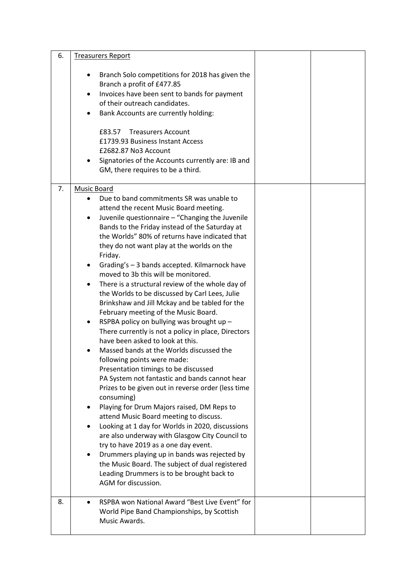| 6. | <b>Treasurers Report</b>                                                                                                                                                                                                                                                                                                                                                                                                                                                                                                                                                                                                                                                                                                                                                                                                                                                                                                                                                                                                                                                                                                                                                                                                                                                                                                                                                                                            |  |
|----|---------------------------------------------------------------------------------------------------------------------------------------------------------------------------------------------------------------------------------------------------------------------------------------------------------------------------------------------------------------------------------------------------------------------------------------------------------------------------------------------------------------------------------------------------------------------------------------------------------------------------------------------------------------------------------------------------------------------------------------------------------------------------------------------------------------------------------------------------------------------------------------------------------------------------------------------------------------------------------------------------------------------------------------------------------------------------------------------------------------------------------------------------------------------------------------------------------------------------------------------------------------------------------------------------------------------------------------------------------------------------------------------------------------------|--|
|    | Branch Solo competitions for 2018 has given the<br>Branch a profit of £477.85<br>Invoices have been sent to bands for payment<br>$\bullet$<br>of their outreach candidates.<br>Bank Accounts are currently holding:<br>£83.57 Treasurers Account<br>£1739.93 Business Instant Access<br>£2682.87 No3 Account<br>Signatories of the Accounts currently are: IB and<br>GM, there requires to be a third.                                                                                                                                                                                                                                                                                                                                                                                                                                                                                                                                                                                                                                                                                                                                                                                                                                                                                                                                                                                                              |  |
| 7. | Music Board                                                                                                                                                                                                                                                                                                                                                                                                                                                                                                                                                                                                                                                                                                                                                                                                                                                                                                                                                                                                                                                                                                                                                                                                                                                                                                                                                                                                         |  |
|    | Due to band commitments SR was unable to<br>attend the recent Music Board meeting.<br>Juvenile questionnaire - "Changing the Juvenile<br>Bands to the Friday instead of the Saturday at<br>the Worlds" 80% of returns have indicated that<br>they do not want play at the worlds on the<br>Friday.<br>Grading's - 3 bands accepted. Kilmarnock have<br>٠<br>moved to 3b this will be monitored.<br>There is a structural review of the whole day of<br>$\bullet$<br>the Worlds to be discussed by Carl Lees, Julie<br>Brinkshaw and Jill Mckay and be tabled for the<br>February meeting of the Music Board.<br>RSPBA policy on bullying was brought up -<br>٠<br>There currently is not a policy in place, Directors<br>have been asked to look at this.<br>Massed bands at the Worlds discussed the<br>following points were made:<br>Presentation timings to be discussed<br>PA System not fantastic and bands cannot hear<br>Prizes to be given out in reverse order (less time<br>consuming)<br>Playing for Drum Majors raised, DM Reps to<br>attend Music Board meeting to discuss.<br>Looking at 1 day for Worlds in 2020, discussions<br>are also underway with Glasgow City Council to<br>try to have 2019 as a one day event.<br>Drummers playing up in bands was rejected by<br>٠<br>the Music Board. The subject of dual registered<br>Leading Drummers is to be brought back to<br>AGM for discussion. |  |
| 8. | RSPBA won National Award "Best Live Event" for<br>World Pipe Band Championships, by Scottish<br>Music Awards.                                                                                                                                                                                                                                                                                                                                                                                                                                                                                                                                                                                                                                                                                                                                                                                                                                                                                                                                                                                                                                                                                                                                                                                                                                                                                                       |  |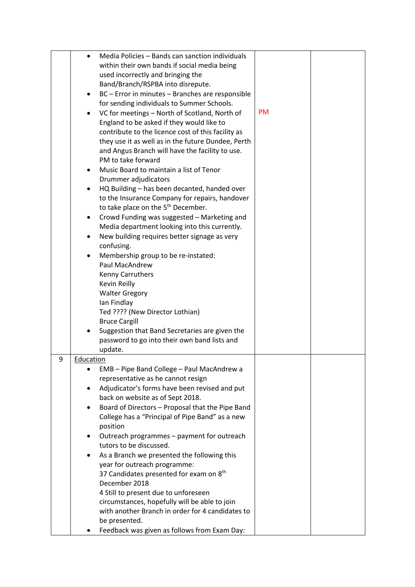|   | Media Policies - Bands can sanction individuals               |           |  |
|---|---------------------------------------------------------------|-----------|--|
|   | $\bullet$                                                     |           |  |
|   | within their own bands if social media being                  |           |  |
|   | used incorrectly and bringing the                             |           |  |
|   | Band/Branch/RSPBA into disrepute.                             |           |  |
|   | BC - Error in minutes - Branches are responsible<br>$\bullet$ |           |  |
|   | for sending individuals to Summer Schools.                    |           |  |
|   | VC for meetings - North of Scotland, North of                 | <b>PM</b> |  |
|   | England to be asked if they would like to                     |           |  |
|   |                                                               |           |  |
|   | contribute to the licence cost of this facility as            |           |  |
|   | they use it as well as in the future Dundee, Perth            |           |  |
|   | and Angus Branch will have the facility to use.               |           |  |
|   | PM to take forward                                            |           |  |
|   | Music Board to maintain a list of Tenor                       |           |  |
|   | Drummer adjudicators                                          |           |  |
|   | HQ Building - has been decanted, handed over                  |           |  |
|   | to the Insurance Company for repairs, handover                |           |  |
|   | to take place on the 5 <sup>th</sup> December.                |           |  |
|   | Crowd Funding was suggested - Marketing and                   |           |  |
|   | Media department looking into this currently.                 |           |  |
|   |                                                               |           |  |
|   | New building requires better signage as very                  |           |  |
|   | confusing.                                                    |           |  |
|   | Membership group to be re-instated:                           |           |  |
|   | Paul MacAndrew                                                |           |  |
|   | Kenny Carruthers                                              |           |  |
|   | Kevin Reilly                                                  |           |  |
|   | <b>Walter Gregory</b>                                         |           |  |
|   | Ian Findlay                                                   |           |  |
|   | Ted ???? (New Director Lothian)                               |           |  |
|   | <b>Bruce Cargill</b>                                          |           |  |
|   | Suggestion that Band Secretaries are given the                |           |  |
|   | password to go into their own band lists and                  |           |  |
|   |                                                               |           |  |
|   | update.                                                       |           |  |
| 9 | Education                                                     |           |  |
|   | EMB - Pipe Band College - Paul MacAndrew a                    |           |  |
|   | representative as he cannot resign                            |           |  |
|   | Adjudicator's forms have been revised and put                 |           |  |
|   | back on website as of Sept 2018.                              |           |  |
|   | Board of Directors - Proposal that the Pipe Band<br>٠         |           |  |
|   | College has a "Principal of Pipe Band" as a new               |           |  |
|   | position                                                      |           |  |
|   | Outreach programmes - payment for outreach<br>٠               |           |  |
|   | tutors to be discussed.                                       |           |  |
|   |                                                               |           |  |
|   | As a Branch we presented the following this                   |           |  |
|   | year for outreach programme:                                  |           |  |
|   | 37 Candidates presented for exam on 8 <sup>th</sup>           |           |  |
|   | December 2018                                                 |           |  |
|   | 4 Still to present due to unforeseen                          |           |  |
|   | circumstances, hopefully will be able to join                 |           |  |
|   | with another Branch in order for 4 candidates to              |           |  |
|   | be presented.                                                 |           |  |
|   | Feedback was given as follows from Exam Day:                  |           |  |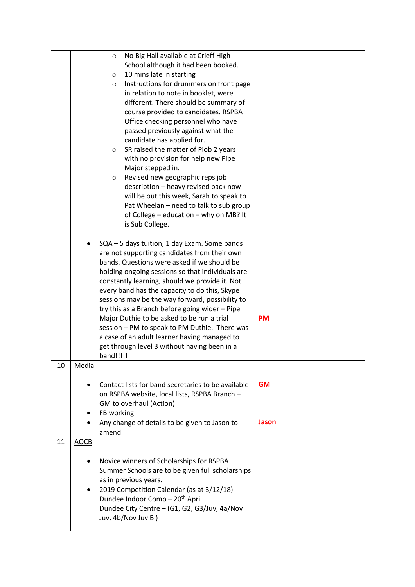|    |                               | No Big Hall available at Crieff High<br>$\circ$<br>School although it had been booked.<br>10 mins late in starting<br>$\circ$<br>Instructions for drummers on front page<br>$\circ$<br>in relation to note in booklet, were<br>different. There should be summary of<br>course provided to candidates. RSPBA<br>Office checking personnel who have<br>passed previously against what the<br>candidate has applied for.<br>SR raised the matter of Piob 2 years<br>$\circ$<br>with no provision for help new Pipe<br>Major stepped in.<br>Revised new geographic reps job<br>$\circ$<br>description - heavy revised pack now<br>will be out this week, Sarah to speak to<br>Pat Wheelan - need to talk to sub group<br>of College - education - why on MB? It<br>is Sub College. |                    |  |
|----|-------------------------------|---------------------------------------------------------------------------------------------------------------------------------------------------------------------------------------------------------------------------------------------------------------------------------------------------------------------------------------------------------------------------------------------------------------------------------------------------------------------------------------------------------------------------------------------------------------------------------------------------------------------------------------------------------------------------------------------------------------------------------------------------------------------------------|--------------------|--|
|    |                               | SQA - 5 days tuition, 1 day Exam. Some bands<br>are not supporting candidates from their own<br>bands. Questions were asked if we should be<br>holding ongoing sessions so that individuals are<br>constantly learning, should we provide it. Not<br>every band has the capacity to do this, Skype<br>sessions may be the way forward, possibility to<br>try this as a Branch before going wider - Pipe<br>Major Duthie to be asked to be run a trial<br>session - PM to speak to PM Duthie. There was<br>a case of an adult learner having managed to<br>get through level 3 without having been in a<br>band!!!!!                                                                                                                                                             | <b>PM</b>          |  |
| 10 | <b>Media</b>                  | Contact lists for band secretaries to be available<br>on RSPBA website, local lists, RSPBA Branch -<br>GM to overhaul (Action)<br>FB working<br>Any change of details to be given to Jason to<br>amend                                                                                                                                                                                                                                                                                                                                                                                                                                                                                                                                                                          | <b>GM</b><br>Jason |  |
| 11 | <b>AOCB</b><br>٠<br>$\bullet$ | Novice winners of Scholarships for RSPBA<br>Summer Schools are to be given full scholarships<br>as in previous years.<br>2019 Competition Calendar (as at 3/12/18)<br>Dundee Indoor Comp - 20 <sup>th</sup> April<br>Dundee City Centre - (G1, G2, G3/Juv, 4a/Nov<br>Juv, 4b/Nov Juv B)                                                                                                                                                                                                                                                                                                                                                                                                                                                                                         |                    |  |